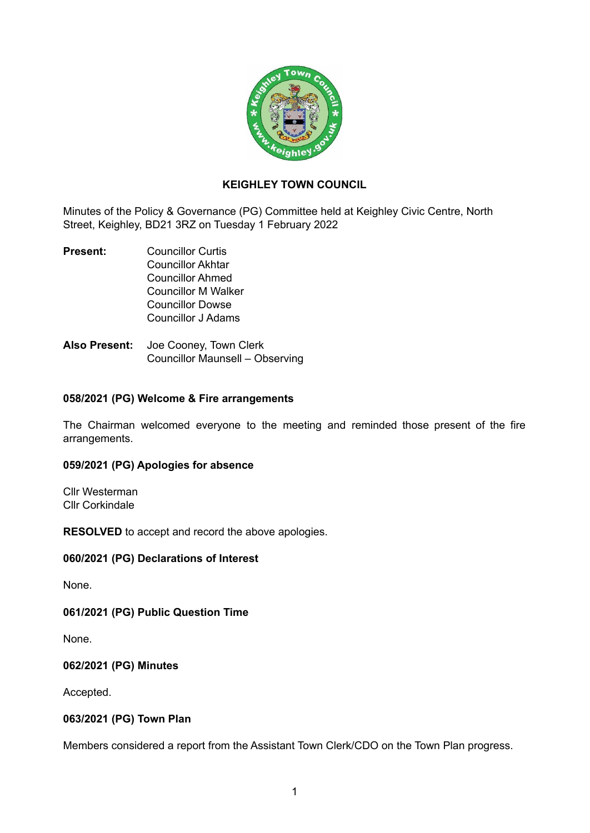

# **KEIGHLEY TOWN COUNCIL**

Minutes of the Policy & Governance (PG) Committee held at Keighley Civic Centre, North Street, Keighley, BD21 3RZ on Tuesday 1 February 2022

- **Present:** Councillor Curtis Councillor Akhtar Councillor Ahmed Councillor M Walker Councillor Dowse Councillor J Adams
- **Also Present:** Joe Cooney, Town Clerk Councillor Maunsell – Observing

#### **058/2021 (PG) Welcome & Fire arrangements**

The Chairman welcomed everyone to the meeting and reminded those present of the fire arrangements.

#### **059/2021 (PG) Apologies for absence**

Cllr Westerman Cllr Corkindale

**RESOLVED** to accept and record the above apologies.

#### **060/2021 (PG) Declarations of Interest**

None.

### **061/2021 (PG) Public Question Time**

None.

### **062/2021 (PG) Minutes**

Accepted.

### **063/2021 (PG) Town Plan**

Members considered a report from the Assistant Town Clerk/CDO on the Town Plan progress.